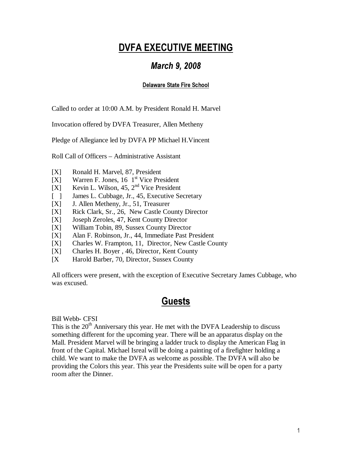# DVFA EXECUTIVE MEETING

## March 9, 2008

### Delaware State Fire School

Called to order at 10:00 A.M. by President Ronald H. Marvel

Invocation offered by DVFA Treasurer, Allen Metheny

Pledge of Allegiance led by DVFA PP Michael H.Vincent

Roll Call of Officers – Administrative Assistant

- [X] Ronald H. Marvel, 87, President
- $[X]$  Warren F. Jones, 16 1<sup>st</sup> Vice President
- [X] Kevin L. Wilson, 45,  $2<sup>nd</sup>$  Vice President
- [ ] James L. Cubbage, Jr., 45, Executive Secretary
- [X] J. Allen Metheny, Jr., 51, Treasurer
- [X] Rick Clark, Sr., 26, New Castle County Director
- [X] Joseph Zeroles, 47, Kent County Director
- [X] William Tobin, 89, Sussex County Director
- [X] Alan F. Robinson, Jr., 44, Immediate Past President
- [X] Charles W. Frampton, 11, Director, New Castle County
- [X] Charles H. Boyer , 46, Director, Kent County
- [X Harold Barber, 70, Director, Sussex County

All officers were present, with the exception of Executive Secretary James Cubbage, who was excused.

## **Guests**

Bill Webb- CFSI

This is the  $20<sup>th</sup>$  Anniversary this year. He met with the DVFA Leadership to discuss something different for the upcoming year. There will be an apparatus display on the Mall. President Marvel will be bringing a ladder truck to display the American Flag in front of the Capital. Michael Isreal will be doing a painting of a firefighter holding a child. We want to make the DVFA as welcome as possible. The DVFA will also be providing the Colors this year. This year the Presidents suite will be open for a party room after the Dinner.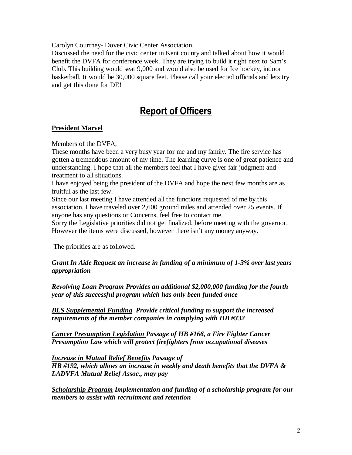Carolyn Courtney- Dover Civic Center Association.

Discussed the need for the civic center in Kent county and talked about how it would benefit the DVFA for conference week. They are trying to build it right next to Sam's Club. This building would seat 9,000 and would also be used for Ice hockey, indoor basketball. It would be 30,000 square feet. Please call your elected officials and lets try and get this done for DE!

## Report of Officers

### **President Marvel**

Members of the DVFA,

These months have been a very busy year for me and my family. The fire service has gotten a tremendous amount of my time. The learning curve is one of great patience and understanding. I hope that all the members feel that I have giver fair judgment and treatment to all situations.

I have enjoyed being the president of the DVFA and hope the next few months are as fruitful as the last few.

Since our last meeting I have attended all the functions requested of me by this association. I have traveled over 2,600 ground miles and attended over 25 events. If anyone has any questions or Concerns, feel free to contact me.

Sorry the Legislative priorities did not get finalized, before meeting with the governor. However the items were discussed, however there isn't any money anyway.

The priorities are as followed.

*Grant In Aide Request an increase in funding of a minimum of 1-3% over last years appropriation* 

*Revolving Loan Program Provides an additional \$2,000,000 funding for the fourth year of this successful program which has only been funded once* 

*BLS Supplemental Funding Provide critical funding to support the increased requirements of the member companies in complying with HB #332* 

*Cancer Presumption Legislation Passage of HB #166, a Fire Fighter Cancer Presumption Law which will protect firefighters from occupational diseases* 

*Increase in Mutual Relief Benefits Passage of HB #192, which allows an increase in weekly and death benefits that the DVFA & LADVFA Mutual Relief Assoc., may pay*

*Scholarship Program Implementation and funding of a scholarship program for our members to assist with recruitment and retention*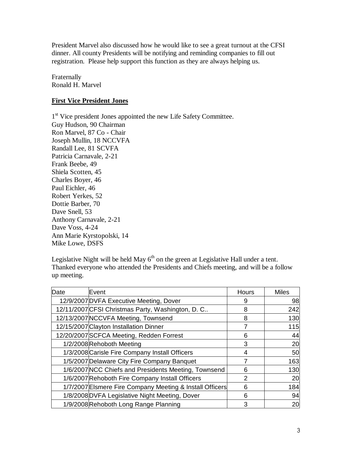President Marvel also discussed how he would like to see a great turnout at the CFSI dinner. All county Presidents will be notifying and reminding companies to fill out registration. Please help support this function as they are always helping us.

Fraternally Ronald H. Marvel

## **First Vice President Jones**

1<sup>st</sup> Vice president Jones appointed the new Life Safety Committee. Guy Hudson, 90 Chairman Ron Marvel, 87 Co - Chair Joseph Mullin, 18 NCCVFA Randall Lee, 81 SCVFA Patricia Carnavale, 2-21 Frank Beebe, 49 Shiela Scotten, 45 Charles Boyer, 46 Paul Eichler, 46 Robert Yerkes, 52 Dottie Barber, 70 Dave Snell, 53 Anthony Carnavale, 2-21 Dave Voss, 4-24 Ann Marie Kyrstopolski, 14 Mike Lowe, DSFS

Legislative Night will be held May  $6<sup>th</sup>$  on the green at Legislative Hall under a tent. Thanked everyone who attended the Presidents and Chiefs meeting, and will be a follow up meeting.

| Date | Event                                                    | Hours | <b>Miles</b> |
|------|----------------------------------------------------------|-------|--------------|
|      | 12/9/2007 DVFA Executive Meeting, Dover                  |       | 98           |
|      | 12/11/2007 CFSI Christmas Party, Washington, D. C        | 8     | 242          |
|      | 12/13/2007 NCCVFA Meeting, Townsend                      |       | 130          |
|      | 12/15/2007 Clayton Installation Dinner                   | 7     | 115          |
|      | 12/20/2007 SCFCA Meeting, Redden Forrest                 | 6     | 44           |
|      | 1/2/2008 Rehoboth Meeting                                | 3     | 20           |
|      | 1/3/2008 Carisle Fire Company Install Officers           | 4     | 50           |
|      | 1/5/2007 Delaware City Fire Company Banquet              |       | 163          |
|      | 1/6/2007 NCC Chiefs and Presidents Meeting, Townsend     | 6     | 130          |
|      | 1/6/2007 Rehoboth Fire Company Install Officers          | 2     | 20           |
|      | 1/7/2007 Elsmere Fire Company Meeting & Install Officers | 6     | 184          |
|      | 1/8/2008 DVFA Legislative Night Meeting, Dover           | 6     | 94           |
|      | 1/9/2008 Rehoboth Long Range Planning                    | 3     | 20           |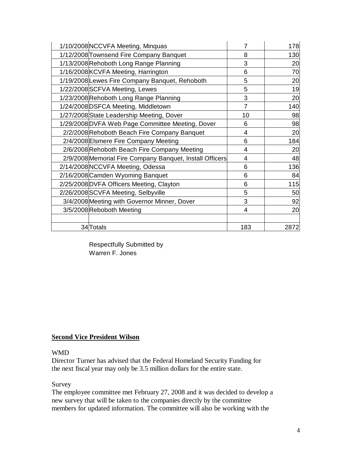| 1/10/2008 NCCVFA Meeting, Minquas                        | 7              | 178  |
|----------------------------------------------------------|----------------|------|
| 1/12/2008 Townsend Fire Company Banquet                  | 8              | 130  |
| 1/13/2008 Rehoboth Long Range Planning                   | 3              | 20   |
| 1/16/2008 KCVFA Meeting, Harrington                      | 6              | 70   |
| 1/19/2008 Lewes Fire Company Banquet, Rehoboth           | 5              | 20   |
| 1/22/2008 SCFVA Meeting, Lewes                           | 5              | 19   |
| 1/23/2008 Rehoboth Long Range Planning                   | 3              | 20   |
| 1/24/2008 DSFCA Meeting, Middletown                      | $\overline{7}$ | 140  |
| 1/27/2008 State Leadership Meeting, Dover                | 10             | 98   |
| 1/29/2008 DVFA Web Page Committee Meeting, Dover         | 6              | 98   |
| 2/2/2008 Rehoboth Beach Fire Company Banquet             | 4              | 20   |
| 2/4/2008 Elsmere Fire Company Meeting                    | 6              | 184  |
| 2/6/2008 Rehoboth Beach Fire Company Meeting             | 4              | 20   |
| 2/9/2008 Memorial Fire Company Banquet, Install Officers | 4              | 48   |
| 2/14/2008 NCCVFA Meeting, Odessa                         | 6              | 136  |
| 2/16/2008 Camden Wyoming Banquet                         | 6              | 84   |
| 2/25/2008 DVFA Officers Meeting, Clayton                 | 6              | 115  |
| 2/26/2008 SCVFA Meeting, Selbyville                      | 5              | 50   |
| 3/4/2008 Meeting with Governor Minner, Dover             | 3              | 92   |
| 3/5/2008 Reboboth Meeting                                | 4              | 20   |
|                                                          |                |      |
| 34 Totals                                                | 183            | 2872 |

 Respectfully Submitted by Warren F. Jones

### **Second Vice President Wilson**

#### WMD

Director Turner has advised that the Federal Homeland Security Funding for the next fiscal year may only be 3.5 million dollars for the entire state.

### Survey

The employee committee met February 27, 2008 and it was decided to develop a new survey that will be taken to the companies directly by the committee members for updated information. The committee will also be working with the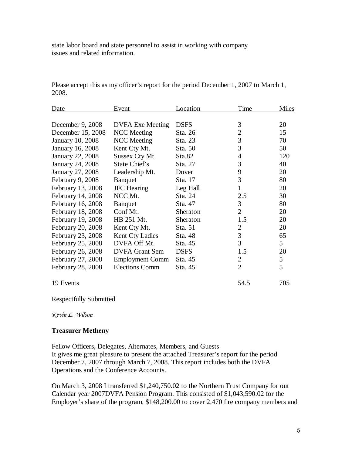state labor board and state personnel to assist in working with company issues and related information.

| <b>Date</b>       | Event                   | Location    | Time           | Miles       |
|-------------------|-------------------------|-------------|----------------|-------------|
|                   |                         |             |                |             |
| December 9, 2008  | <b>DVFA Exe Meeting</b> | <b>DSFS</b> | 3              | 20          |
| December 15, 2008 | <b>NCC</b> Meeting      | Sta. 26     | $\overline{2}$ | 15          |
| January 10, 2008  | <b>NCC</b> Meeting      | Sta. 23     | 3              | 70          |
| January 16, 2008  | Kent Cty Mt.            | Sta. 50     | 3              | 50          |
| January 22, 2008  | Sussex Cty Mt.          | Sta.82      | $\overline{4}$ | 120         |
| January 24, 2008  | State Chief's           | Sta. 27     | 3              | 40          |
| January 27, 2008  | Leadership Mt.          | Dover       | 9              | 20          |
| February 9, 2008  | <b>B</b> anquet         | Sta. 17     | 3              | 80          |
| February 13, 2008 | <b>JFC</b> Hearing      | Leg Hall    | 1              | 20          |
| February 14, 2008 | NCC Mt.                 | Sta. 24     | 2.5            | 30          |
| February 16, 2008 | <b>B</b> anquet         | Sta. 47     | 3              | 80          |
| February 18, 2008 | Conf Mt.                | Sheraton    | $\overline{2}$ | 20          |
| February 19, 2008 | HB 251 Mt.              | Sheraton    | 1.5            | 20          |
| February 20, 2008 | Kent Cty Mt.            | Sta. 51     | $\overline{2}$ | 20          |
| February 23, 2008 | Kent Cty Ladies         | Sta. 48     | $\mathfrak{Z}$ | 65          |
| February 25, 2008 | DVFA Off Mt.            | Sta. 45     | 3              | $5^{\circ}$ |
| February 26, 2008 | <b>DVFA</b> Grant Sem   | <b>DSFS</b> | 1.5            | 20          |
| February 27, 2008 | <b>Employment Comm</b>  | Sta. 45     | $\overline{2}$ | 5           |
| February 28, 2008 | <b>Elections Comm</b>   | Sta. 45     | $\overline{2}$ | 5           |
| 19 Events         |                         |             | 54.5           | 705         |

Please accept this as my officer's report for the period December 1, 2007 to March 1, 2008.

Respectfully Submitted

Kevin L. Wilson

### **Treasurer Metheny**

Fellow Officers, Delegates, Alternates, Members, and Guests It gives me great pleasure to present the attached Treasurer's report for the period December 7, 2007 through March 7, 2008. This report includes both the DVFA Operations and the Conference Accounts.

On March 3, 2008 I transferred \$1,240,750.02 to the Northern Trust Company for out Calendar year 2007DVFA Pension Program. This consisted of \$1,043,590.02 for the Employer's share of the program, \$148,200.00 to cover 2,470 fire company members and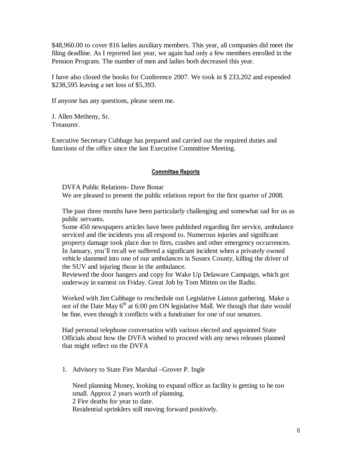\$48,960.00 to cover 816 ladies auxiliary members. This year, all companies did meet the filing deadline. As I reported last year, we again had only a few members enrolled in the Pension Program. The number of men and ladies both decreased this year.

I have also closed the books for Conference 2007. We took in \$ 233,202 and expended \$238,595 leaving a net loss of \$5,393.

If anyone has any questions, please seem me.

J. Allen Metheny, Sr. Treasurer.

Executive Secretary Cubbage has prepared and carried out the required duties and functions of the office since the last Executive Committee Meeting.

### Committee Reports

DVFA Public Relations- Dave Bonar

We are pleased to present the public relations report for the first quarter of 2008.

The past three months have been particularly challenging and somewhat sad for us as public servants.

Some 450 newspapers articles have been published regarding fire service, ambulance serviced and the incidents you all respond to. Numerous injuries and significant property damage took place due to fires, crashes and other emergency occurrences. In January, you'll recall we suffered a significant incident when a privately owned vehicle slammed into one of our ambulances in Sussex County, killing the driver of the SUV and injuring those in the ambulance.

Reviewed the door hangers and copy for Wake Up Delaware Campaign, which got underway in earnest on Friday. Great Job by Tom Mitten on the Radio.

Worked with Jim Cubbage to reschedule out Legislative Liaison gathering. Make a not of the Date May  $6<sup>th</sup>$  at 6:00 pm ON legislative Mall. We though that date would be fine, even though it conflicts with a fundraiser for one of our senators.

Had personal telephone conversation with various elected and appointed State Officials about how the DVFA wished to proceed with any news releases planned that might reflect on the DVFA

1. Advisory to State Fire Marshal –Grover P. Ingle

Need planning Money, looking to expand office as facility is getting to be too small. Approx 2 years worth of planning. 2 Fire deaths for year to date. Residential sprinklers still moving forward positively.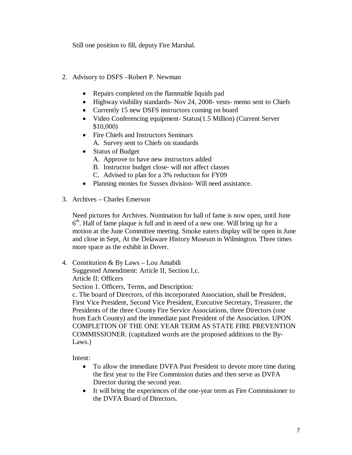Still one position to fill, deputy Fire Marshal.

- 2. Advisory to DSFS –Robert P. Newman
	- Repairs completed on the flammable liquids pad
	- Highway visibility standards- Nov 24, 2008- vests- memo sent to Chiefs
	- Currently 15 new DSFS instructors coming on board
	- Video Conferencing equipment- Status(1.5 Million) (Current Server \$10,000)
	- Fire Chiefs and Instructors Seminars A. Survey sent to Chiefs on standards
	- Status of Budget
		- A. Approve to have new instructors added
		- B. Instructor budget close- will not affect classes
		- C. Advised to plan for a 3% reduction for FY09
	- Planning monies for Sussex division- Will need assistance.
- 3. Archives Charles Emerson

Need pictures for Archives. Nomination for hall of fame is now open, until June 6 th. Hall of fame plaque is full and in need of a new one. Will bring up for a motion at the June Committee meeting. Smoke eaters display will be open in June and close in Sept, At the Delaware History Museum in Wilmington. Three times more space as the exhibit in Dover.

4. Constitution & By Laws – Lou Amabili Suggested Amendment: Article II, Section I,c. Article II: Officers Section 1. Officers, Terms, and Description: c. The board of Directors, of this incorporated Association, shall be President, First Vice President, Second Vice President, Executive Secretary, Treasurer, the Presidents of the three County Fire Service Associations, three Directors (one from Each County) and the immediate past President of the Association. UPON COMPLETION OF THE ONE YEAR TERM AS STATE FIRE PREVENTION COMMISSIONER. (capitalized words are the proposed additions to the By-Laws.)

Intent:

- To allow the immediate DVFA Past President to devote more time during the first year to the Fire Commission duties and then serve as DVFA Director during the second year.
- It will bring the experiences of the one-year term as Fire Commissioner to the DVFA Board of Directors.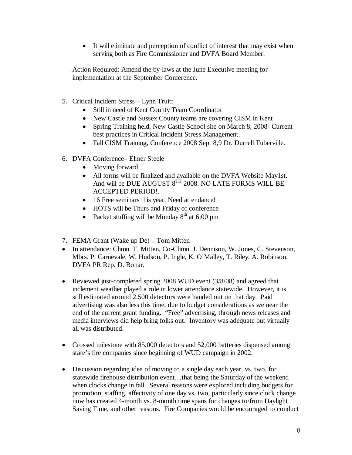• It will eliminate and perception of conflict of interest that may exist when serving both as Fire Commissioner and DVFA Board Member.

Action Required: Amend the by-laws at the June Executive meeting for implementation at the September Conference.

- 5. Critical Incident Stress Lynn Truitt
	- Still in need of Kent County Team Coordinator
	- New Castle and Sussex County teams are covering CISM in Kent
	- Spring Training held, New Castle School site on March 8, 2008- Current best practices in Critical Incident Stress Management.
	- Fall CISM Training, Conference 2008 Sept 8,9 Dr. Durrell Tuberville.
- 6. DVFA Conference– Elmer Steele
	- Moving forward
	- All forms will be finalized and available on the DVFA Website May1st. And will be DUE AUGUST 8<sup>TH</sup> 2008. NO LATE FORMS WILL BE ACCEPTED PERIOD!.
	- 16 Free seminars this year. Need attendance!
	- HOTS will be Thurs and Friday of conference
	- Packet stuffing will be Monday  $8<sup>th</sup>$  at 6:00 pm
- 7. FEMA Grant (Wake up De) Tom Mitten
- In attendance: Chmn. T. Mitten, Co-Chmn. J. Dennison, W. Jones, C. Stevenson, Mbrs. P. Carnevale, W. Hudson, P. Ingle, K. O'Malley, T. Riley, A. Robinson, DVFA PR Rep. D. Bonar.
- Reviewed just-completed spring 2008 WUD event (3/8/08) and agreed that inclement weather played a role in lower attendance statewide. However, it is still estimated around 2,500 detectors were handed out on that day. Paid advertising was also less this time, due to budget considerations as we near the end of the current grant funding. "Free" advertising, through news releases and media interviews did help bring folks out. Inventory was adequate but virtually all was distributed.
- Crossed milestone with 85,000 detectors and 52,000 batteries dispensed among state's fire companies since beginning of WUD campaign in 2002.
- Discussion regarding idea of moving to a single day each year, vs. two, for statewide firehouse distribution event…that being the Saturday of the weekend when clocks change in fall. Several reasons were explored including budgets for promotion, staffing, affectivity of one day vs. two, particularly since clock change now has created 4-month vs. 8-month time spans for changes to/from Daylight Saving Time, and other reasons. Fire Companies would be encouraged to conduct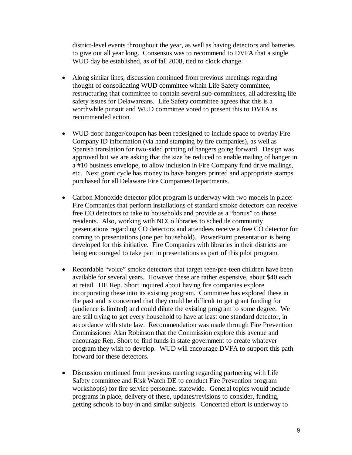district-level events throughout the year, as well as having detectors and batteries to give out all year long. Consensus was to recommend to DVFA that a single WUD day be established, as of fall 2008, tied to clock change.

- Along similar lines, discussion continued from previous meetings regarding thought of consolidating WUD committee within Life Safety committee, restructuring that committee to contain several sub-committees, all addressing life safety issues for Delawareans. Life Safety committee agrees that this is a worthwhile pursuit and WUD committee voted to present this to DVFA as recommended action.
- WUD door hanger/coupon has been redesigned to include space to overlay Fire Company ID information (via hand stamping by fire companies), as well as Spanish translation for two-sided printing of hangers going forward. Design was approved but we are asking that the size be reduced to enable mailing of hanger in a #10 business envelope, to allow inclusion in Fire Company fund drive mailings, etc. Next grant cycle has money to have hangers printed and appropriate stamps purchased for all Delaware Fire Companies/Departments.
- Carbon Monoxide detector pilot program is underway with two models in place: Fire Companies that perform installations of standard smoke detectors can receive free CO detectors to take to households and provide as a "bonus" to those residents. Also, working with NCCo libraries to schedule community presentations regarding CO detectors and attendees receive a free CO detector for coming to presentations (one per household). PowerPoint presentation is being developed for this initiative. Fire Companies with libraries in their districts are being encouraged to take part in presentations as part of this pilot program.
- Recordable "voice" smoke detectors that target teen/pre-teen children have been available for several years. However these are rather expensive, about \$40 each at retail. DE Rep. Short inquired about having fire companies explore incorporating these into its existing program. Committee has explored these in the past and is concerned that they could be difficult to get grant funding for (audience is limited) and could dilute the existing program to some degree. We are still trying to get every household to have at least one standard detector, in accordance with state law. Recommendation was made through Fire Prevention Commissioner Alan Robinson that the Commission explore this avenue and encourage Rep. Short to find funds in state government to create whatever program they wish to develop. WUD will encourage DVFA to support this path forward for these detectors.
- Discussion continued from previous meeting regarding partnering with Life Safety committee and Risk Watch DE to conduct Fire Prevention program workshop(s) for fire service personnel statewide. General topics would include programs in place, delivery of these, updates/revisions to consider, funding, getting schools to buy-in and similar subjects. Concerted effort is underway to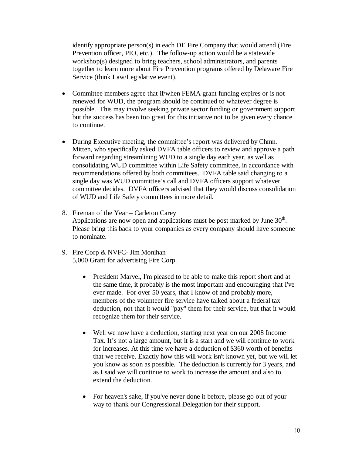identify appropriate person(s) in each DE Fire Company that would attend (Fire Prevention officer, PIO, etc.). The follow-up action would be a statewide workshop(s) designed to bring teachers, school administrators, and parents together to learn more about Fire Prevention programs offered by Delaware Fire Service (think Law/Legislative event).

- Committee members agree that if/when FEMA grant funding expires or is not renewed for WUD, the program should be continued to whatever degree is possible. This may involve seeking private sector funding or government support but the success has been too great for this initiative not to be given every chance to continue.
- During Executive meeting, the committee's report was delivered by Chmn. Mitten, who specifically asked DVFA table officers to review and approve a path forward regarding streamlining WUD to a single day each year, as well as consolidating WUD committee within Life Safety committee, in accordance with recommendations offered by both committees. DVFA table said changing to a single day was WUD committee's call and DVFA officers support whatever committee decides. DVFA officers advised that they would discuss consolidation of WUD and Life Safety committees in more detail.
- 8. Fireman of the Year Carleton Carey Applications are now open and applications must be post marked by June  $30<sup>th</sup>$ . Please bring this back to your companies as every company should have someone to nominate.
- 9. Fire Corp & NVFC- Jim Monihan 5,000 Grant for advertising Fire Corp.
	- President Marvel, I'm pleased to be able to make this report short and at the same time, it probably is the most important and encouraging that I've ever made. For over 50 years, that I know of and probably more, members of the volunteer fire service have talked about a federal tax deduction, not that it would "pay" them for their service, but that it would recognize them for their service.
	- Well we now have a deduction, starting next year on our 2008 Income Tax. It's not a large amount, but it is a start and we will continue to work for increases. At this time we have a deduction of \$360 worth of benefits that we receive. Exactly how this will work isn't known yet, but we will let you know as soon as possible. The deduction is currently for 3 years, and as I said we will continue to work to increase the amount and also to extend the deduction.
	- For heaven's sake, if you've never done it before, please go out of your way to thank our Congressional Delegation for their support.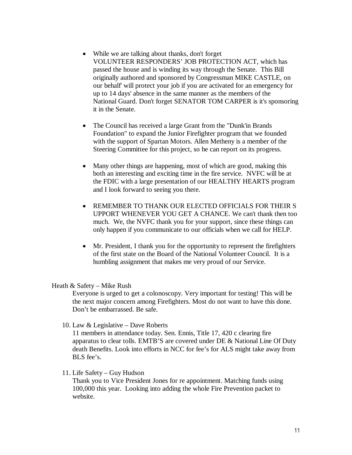- While we are talking about thanks, don't forget VOLUNTEER RESPONDERS' JOB PROTECTION ACT, which has passed the house and is winding its way through the Senate. This Bill originally authored and sponsored by Congressman MIKE CASTLE, on our behalf' will protect your job if you are activated for an emergency for up to 14 days' absence in the same manner as the members of the National Guard. Don't forget SENATOR TOM CARPER is it's sponsoring it in the Senate.
- The Council has received a large Grant from the "Dunk'in Brands" Foundation" to expand the Junior Firefighter program that we founded with the support of Spartan Motors. Allen Metheny is a member of the Steering Committee for this project, so he can report on its progress.
- Many other things are happening, most of which are good, making this both an interesting and exciting time in the fire service. NVFC will be at the FDIC with a large presentation of our HEALTHY HEARTS program and I look forward to seeing you there.
- REMEMBER TO THANK OUR ELECTED OFFICIALS FOR THEIR S UPPORT WHENEVER YOU GET A CHANCE. We can't thank then too much. We, the NVFC thank you for your support, since these things can only happen if you communicate to our officials when we call for HELP.
- Mr. President, I thank you for the opportunity to represent the firefighters of the first state on the Board of the National Volunteer Council. It is a humbling assignment that makes me very proud of our Service.

#### Heath & Safety – Mike Rush

Everyone is urged to get a colonoscopy. Very important for testing! This will be the next major concern among Firefighters. Most do not want to have this done. Don't be embarrassed. Be safe.

### 10. Law & Legislative – Dave Roberts

11 members in attendance today. Sen. Ennis, Title 17, 420 c clearing fire apparatus to clear tolls. EMTB'S are covered under DE & National Line Of Duty death Benefits. Look into efforts in NCC for fee's for ALS might take away from BLS fee's.

### 11. Life Safety – Guy Hudson

Thank you to Vice President Jones for re appointment. Matching funds using 100,000 this year. Looking into adding the whole Fire Prevention packet to website.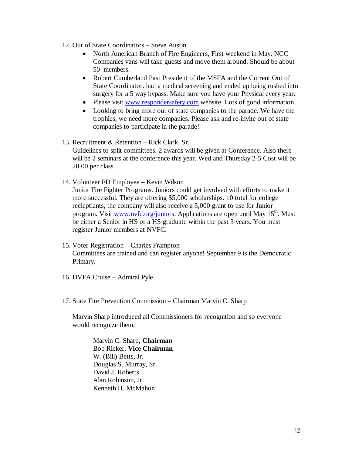- 12. Out of State Coordinators Steve Austin
	- North American Branch of Fire Engineers, First weekend in May. NCC Companies vans will take guests and move them around. Should be about 50 members.
	- Robert Cumberland Past President of the MSFA and the Current Out of State Coordinator. had a medical screening and ended up being rushed into surgery for a 5 way bypass. Make sure you have your Physical every year.
	- Please visit www.respondersafety.com website. Lots of good information.
	- Looking to bring more out of state companies to the parade. We have the trophies, we need more companies. Please ask and re-invite out of state companies to participate in the parade!
- 13. Recruitment & Retention Rick Clark, Sr. Guidelines to split committees. 2 awards will be given at Conference. Also there will be 2 seminars at the conference this year. Wed and Thursday 2-5 Cost will be 20.00 per class.
- 14. Volunteer FD Employee Kevin Wilson

Junior Fire Fighter Programs. Juniors could get involved with efforts to make it more successful. They are offering \$5,000 scholarships. 10 total for college recieptiants, the company will also receive a 5,000 grant to use for Junior program. Visit www.nvfc.org/juniors. Applications are open until May  $15<sup>th</sup>$ . Must be either a Senior in HS or a HS graduate within the past 3 years. You must register Junior members at NVFC.

- 15. Voter Registration Charles Frampton Committees are trained and can register anyone! September 9 is the Democratic Primary.
- 16. DVFA Cruise Admiral Pyle
- 17. State Fire Prevention Commission Chairman Marvin C. Sharp

Marvin Sharp introduced all Commissioners for recognition and so everyone would recognize them.

Marvin C. Sharp, **Chairman**  Bob Ricker, **Vice Chairman**  W. (Bill) Betts, Jr. Douglas S. Murray, Sr. David J. Roberts Alan Robinson, Jr. Kenneth H. McMahon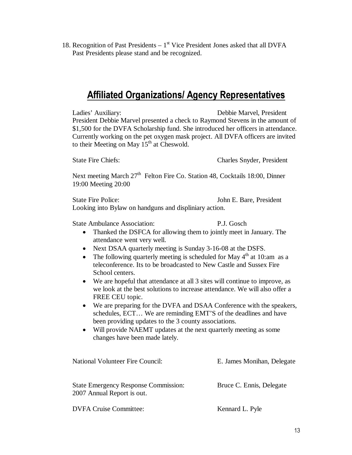18. Recognition of Past Presidents  $-1<sup>st</sup>$  Vice President Jones asked that all DVFA Past Presidents please stand and be recognized.

## Affiliated Organizations/ Agency Representatives

Ladies' Auxiliary: Debbie Marvel, President President Debbie Marvel presented a check to Raymond Stevens in the amount of \$1,500 for the DVFA Scholarship fund. She introduced her officers in attendance. Currently working on the pet oxygen mask project. All DVFA officers are invited to their Meeting on May  $15^{th}$  at Cheswold.

State Fire Chiefs: Charles Snyder, President

Next meeting March 27<sup>th</sup> Felton Fire Co. Station 48, Cocktails 18:00, Dinner 19:00 Meeting 20:00

State Fire Police: John E. Bare, President Looking into Bylaw on handguns and displiniary action.

State Ambulance Association: P.J. Gosch

- Thanked the DSFCA for allowing them to jointly meet in January. The attendance went very well.
- Next DSAA quarterly meeting is Sunday 3-16-08 at the DSFS.
- The following quarterly meeting is scheduled for May  $4<sup>th</sup>$  at 10:am as a teleconference. Its to be broadcasted to New Castle and Sussex Fire School centers.
- We are hopeful that attendance at all 3 sites will continue to improve, as we look at the best solutions to increase attendance. We will also offer a FREE CEU topic.
- We are preparing for the DVFA and DSAA Conference with the speakers, schedules, ECT… We are reminding EMT'S of the deadlines and have been providing updates to the 3 county associations.
- Will provide NAEMT updates at the next quarterly meeting as some changes have been made lately.

| <b>National Volunteer Fire Council:</b>                                   | E. James Monihan, Delegate |
|---------------------------------------------------------------------------|----------------------------|
| <b>State Emergency Response Commission:</b><br>2007 Annual Report is out. | Bruce C. Ennis, Delegate   |
| <b>DVFA Cruise Committee:</b>                                             | Kennard L. Pyle            |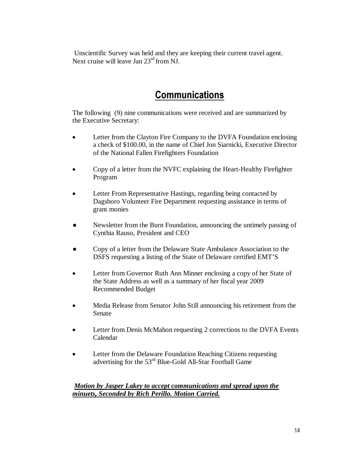Unscientific Survey was held and they are keeping their current travel agent. Next cruise will leave Jan 23rd from NJ.

## **Communications**

The following (9) nine communications were received and are summarized by the Executive Secretary:

- Letter from the Clayton Fire Company to the DVFA Foundation enclosing a check of \$100.00, in the name of Chief Jon Siarnicki, Executive Director of the National Fallen Firefighters Foundation
- Copy of a letter from the NVFC explaining the Heart-Healthy Firefighter Program
- Letter From Representative Hastings, regarding being contacted by Dagsboro Volunteer Fire Department requesting assistance in terms of grant monies
- Newsletter from the Burn Foundation, announcing the untimely passing of Cynthia Rauso, President and CEO
- Copy of a letter from the Delaware State Ambulance Association to the DSFS requesting a listing of the State of Delaware certified EMT'S
- Letter from Governor Ruth Ann Minner enclosing a copy of her State of the State Address as well as a summary of her fiscal year 2009 Recommended Budget
- Media Release from Senator John Still announcing his retirement from the Senate
- Letter from Denis McMahon requesting 2 corrections to the DVFA Events Calendar
- Letter from the Delaware Foundation Reaching Citizens requesting advertising for the 53rd Blue-Gold All-Star Football Game

### *Motion by Jasper Lakey to accept communications and spread upon the minuets, Seconded by Rich Perillo. Motion Carried.*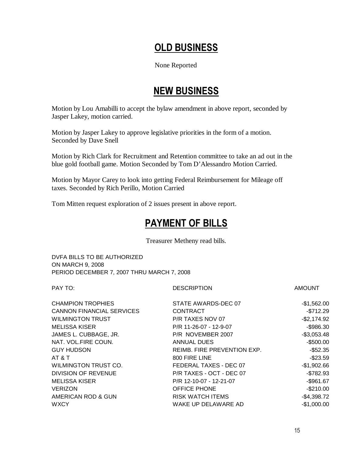# OLD BUSINESS

None Reported

## NEW BUSINESS

Motion by Lou Amabilli to accept the bylaw amendment in above report, seconded by Jasper Lakey, motion carried.

Motion by Jasper Lakey to approve legislative priorities in the form of a motion. Seconded by Dave Snell

Motion by Rich Clark for Recruitment and Retention committee to take an ad out in the blue gold football game. Motion Seconded by Tom D'Alessandro Motion Carried.

Motion by Mayor Carey to look into getting Federal Reimbursement for Mileage off taxes. Seconded by Rich Perillo, Motion Carried

Tom Mitten request exploration of 2 issues present in above report.

## PAYMENT OF BILLS

Treasurer Metheny read bills.

DVFA BILLS TO BE AUTHORIZED ON MARCH 9, 2008 PERIOD DECEMBER 7, 2007 THRU MARCH 7, 2008

PAY TO: AMOUNT AND RESCRIPTION AMOUNT

| <b>CHAMPION TROPHIES</b>         | STATE AWARDS-DEC 07         | $-$1,562.00$ |
|----------------------------------|-----------------------------|--------------|
| <b>CANNON FINANCIAL SERVICES</b> | <b>CONTRACT</b>             | $-$712.29$   |
| <b>WILMINGTON TRUST</b>          | P/R TAXES NOV 07            | $-$2,174.92$ |
| MELISSA KISER                    | P/R 11-26-07 - 12-9-07      | $-$ \$986.30 |
| JAMES L. CUBBAGE, JR.            | P/R NOVEMBER 2007           | $-$3,053.48$ |
| NAT. VOL.FIRE COUN.              | ANNUAL DUES                 | $-$500.00$   |
| <b>GUY HUDSON</b>                | REIMB. FIRE PREVENTION EXP. | $-$ \$52.35  |
| AT & T                           | 800 FIRE LINE               | $-$23.59$    |
| WILMINGTON TRUST CO.             | FEDERAL TAXES - DEC 07      | $-$1,902.66$ |
| DIVISION OF REVENUE              | P/R TAXES - OCT - DEC 07    | $-$ \$782.93 |
| <b>MELISSA KISER</b>             | P/R 12-10-07 - 12-21-07     | $-$ \$961.67 |
| <b>VERIZON</b>                   | <b>OFFICE PHONE</b>         | $-$210.00$   |
| AMERICAN ROD & GUN               | <b>RISK WATCH ITEMS</b>     | $-$4,398.72$ |
| <b>WXCY</b>                      | WAKE UP DELAWARE AD         | $-$1,000.00$ |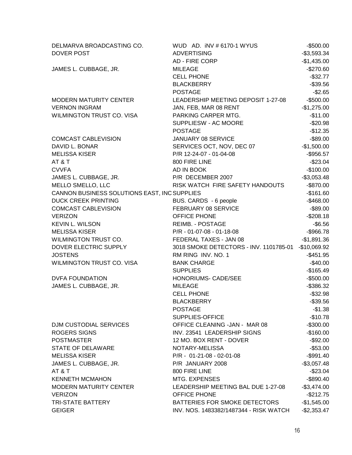| DELMARVA BROADCASTING CO.                    | WUD AD. INV # 6170-1 WYUS              | $-$500.00$   |
|----------------------------------------------|----------------------------------------|--------------|
| <b>DOVER POST</b>                            | <b>ADVERTISING</b>                     | $-$3,593.34$ |
|                                              | AD - FIRE CORP                         | $-$1,435.00$ |
| JAMES L. CUBBAGE, JR.                        | <b>MILEAGE</b>                         | $-$270.60$   |
|                                              | <b>CELL PHONE</b>                      | $-$32.77$    |
|                                              | <b>BLACKBERRY</b>                      | $-$39.56$    |
|                                              | <b>POSTAGE</b>                         | $-$2.65$     |
| <b>MODERN MATURITY CENTER</b>                | LEADERSHIP MEETING DEPOSIT 1-27-08     | $-$500.00$   |
| <b>VERNON INGRAM</b>                         | JAN, FEB, MAR 08 RENT                  | $-$1,275.00$ |
| WILMINGTON TRUST CO. VISA                    | PARKING CARPER MTG.                    | $-$11.00$    |
|                                              | SUPPLIESW - AC MOORE                   | $-$20.98$    |
|                                              | <b>POSTAGE</b>                         | $-$12.35$    |
| <b>COMCAST CABLEVISION</b>                   | JANUARY 08 SERVICE                     | $-$ \$89.00  |
| DAVID L. BONAR                               | SERVICES OCT, NOV, DEC 07              | $-$1,500.00$ |
| <b>MELISSA KISER</b>                         | P/R 12-24-07 - 01-04-08                | $-$ \$956.57 |
| AT&T                                         | 800 FIRE LINE                          | $-$23.04$    |
| <b>CVVFA</b>                                 | AD IN BOOK                             | $-$100.00$   |
| JAMES L. CUBBAGE, JR.                        | P/R DECEMBER 2007                      | $-$3,053.48$ |
| MELLO SMELLO, LLC                            | RISK WATCH FIRE SAFETY HANDOUTS        | $-$ \$870.00 |
| CANNON BUSINESS SOLUTIONS EAST, INC SUPPLIES |                                        | $-$161.60$   |
| <b>DUCK CREEK PRINTING</b>                   | BUS. CARDS - 6 people                  | $-$468.00$   |
| <b>COMCAST CABLEVISION</b>                   | FEBRUARY 08 SERVICE                    | $-$ \$89.00  |
| <b>VERIZON</b>                               | OFFICE PHONE                           | $-$208.18$   |
| <b>KEVIN L. WILSON</b>                       | REIMB. - POSTAGE                       | $-$6.56$     |
| <b>MELISSA KISER</b>                         | P/R - 01-07-08 - 01-18-08              | $-$ \$966.78 |
| WILMINGTON TRUST CO.                         | FEDERAL TAXES - JAN 08                 | $-$1,891.36$ |
| DOVER ELECTRIC SUPPLY                        | 3018 SMOKE DETECTORS - INV. 1101785-01 | -\$10,069.92 |
| <b>JOSTENS</b>                               | RM RING INV. NO. 1                     | $-$451.95$   |
| <b>WILMINGTON TRUST CO. VISA</b>             | <b>BANK CHARGE</b>                     | $-$40.00$    |
|                                              | <b>SUPPLIES</b>                        | $-$165.49$   |
| <b>DVFA FOUNDATION</b>                       | HONORIUMS- CADE/SEE                    | $-$500.00$   |
| JAMES L. CUBBAGE, JR.                        | <b>MILEAGE</b>                         | $-$ \$386.32 |
|                                              | <b>CELL PHONE</b>                      | $-$32.98$    |
|                                              | <b>BLACKBERRY</b>                      | $-$39.56$    |
|                                              | <b>POSTAGE</b>                         | $-$1.38$     |
|                                              | SUPPLIES-OFFICE                        | $-$10.78$    |
| <b>DJM CUSTODIAL SERVICES</b>                | OFFICE CLEANING -JAN - MAR 08          | $-$300.00$   |
| ROGERS SIGNS                                 | INV. 23541 LEADERSHIP SIGNS            | $-$160.00$   |
| <b>POSTMASTER</b>                            | 12 MO. BOX RENT - DOVER                | $-$92.00$    |
| <b>STATE OF DELAWARE</b>                     | NOTARY-MELISSA                         | $-$53.00$    |
| <b>MELISSA KISER</b>                         | $P/R - 01-21-08 - 02-01-08$            | $-$991.40$   |
| JAMES L. CUBBAGE, JR.                        | P/R JANUARY 2008                       | $-$3,057.48$ |
| AT&T                                         | 800 FIRE LINE                          | $-$23.04$    |
| <b>KENNETH MCMAHON</b>                       | MTG. EXPENSES                          | $-$ \$890.40 |
| <b>MODERN MATURITY CENTER</b>                | LEADERSHIP MEETING BAL DUE 1-27-08     | $-$3,474.00$ |
| <b>VERIZON</b>                               | <b>OFFICE PHONE</b>                    | $-$212.75$   |
| <b>TRI-STATE BATTERY</b>                     | BATTERIES FOR SMOKE DETECTORS          | $-$1,545.00$ |
| <b>GEIGER</b>                                | INV. NOS. 1483382/1487344 - RISK WATCH | $-$2,353.47$ |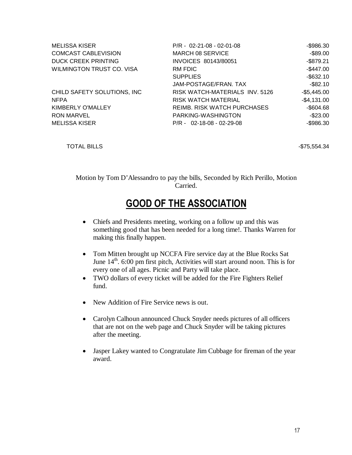| <b>MELISSA KISER</b>             | $P/R - 02 - 21 - 08 - 02 - 01 - 08$ | $-$ \$986.30 |
|----------------------------------|-------------------------------------|--------------|
| <b>COMCAST CABLEVISION</b>       | MARCH 08 SERVICE                    | $-$ \$89.00  |
| <b>DUCK CREEK PRINTING</b>       | INVOICES 80143/80051                | $-$ \$879.21 |
| <b>WILMINGTON TRUST CO. VISA</b> | RM FDIC                             | $-$447.00$   |
|                                  | <b>SUPPLIES</b>                     | $-$ \$632.10 |
|                                  | JAM-POSTAGE/FRAN. TAX               | $-$ \$82.10  |
| CHILD SAFETY SOLUTIONS, INC      | RISK WATCH-MATERIALS INV. 5126      | $-$5,445.00$ |
| <b>NFPA</b>                      | <b>RISK WATCH MATERIAL</b>          | $-$4,131.00$ |
| KIMBERLY O'MALLEY                | <b>REIMB. RISK WATCH PURCHASES</b>  | $-$ \$604.68 |
| <b>RON MARVEL</b>                | PARKING-WASHINGTON                  | $-$ \$23.00  |
| <b>MELISSA KISER</b>             | $P/R - 02 - 18 - 08 - 02 - 29 - 08$ | $-$ \$986.30 |

TOTAL BILLS - 2008 - 2019 - 2019 - 2019 - 2019 - 2019 - 2019 - 2019 - 2019 - 2019 - 2019 - 2019 - 2019 - 2019 - 2019 - 2019 - 2019 - 2019 - 2019 - 2019 - 2019 - 2019 - 2019 - 2019 - 2019 - 2019 - 2019 - 2019 - 2019 - 2019

Motion by Tom D'Alessandro to pay the bills, Seconded by Rich Perillo, Motion Carried.

# GOOD OF THE ASSOCIATION

- Chiefs and Presidents meeting, working on a follow up and this was something good that has been needed for a long time!. Thanks Warren for making this finally happen.
- Tom Mitten brought up NCCFA Fire service day at the Blue Rocks Sat June 14<sup>th</sup>. 6:00 pm first pitch, Activities will start around noon. This is for every one of all ages. Picnic and Party will take place.
- TWO dollars of every ticket will be added for the Fire Fighters Relief fund.
- New Addition of Fire Service news is out.
- Carolyn Calhoun announced Chuck Snyder needs pictures of all officers that are not on the web page and Chuck Snyder will be taking pictures after the meeting.
- Jasper Lakey wanted to Congratulate Jim Cubbage for fireman of the year award.